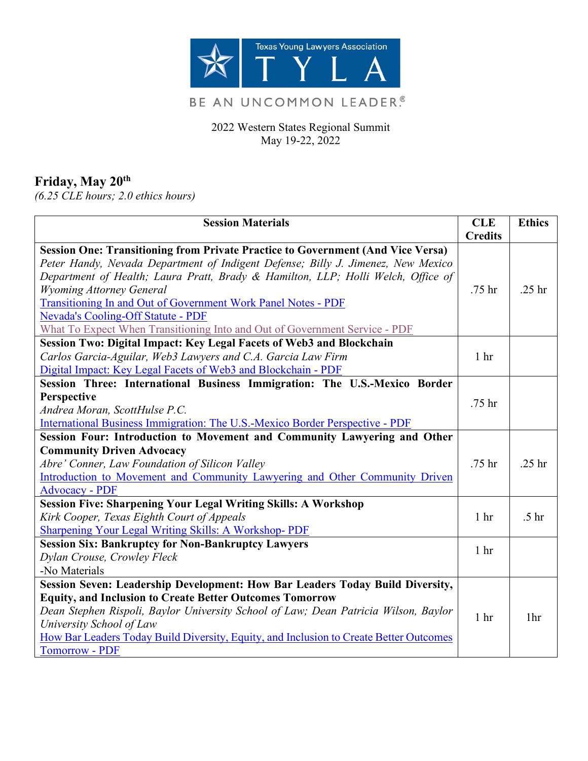

# BE AN UNCOMMON LEADER.®

2022 Western States Regional Summit May 19-22, 2022

## **Friday, May 20th**

*(6.25 CLE hours; 2.0 ethics hours)*

| <b>Session Materials</b>                                                               | <b>CLE</b>      | <b>Ethics</b>     |
|----------------------------------------------------------------------------------------|-----------------|-------------------|
|                                                                                        | <b>Credits</b>  |                   |
| <b>Session One: Transitioning from Private Practice to Government (And Vice Versa)</b> |                 |                   |
| Peter Handy, Nevada Department of Indigent Defense; Billy J. Jimenez, New Mexico       |                 |                   |
| Department of Health; Laura Pratt, Brady & Hamilton, LLP; Holli Welch, Office of       |                 |                   |
| <b>Wyoming Attorney General</b>                                                        | .75 hr          | .25 <sub>hr</sub> |
| Transitioning In and Out of Government Work Panel Notes - PDF                          |                 |                   |
| <b>Nevada's Cooling-Off Statute - PDF</b>                                              |                 |                   |
| What To Expect When Transitioning Into and Out of Government Service - PDF             |                 |                   |
| Session Two: Digital Impact: Key Legal Facets of Web3 and Blockchain                   |                 |                   |
| Carlos Garcia-Aguilar, Web3 Lawyers and C.A. Garcia Law Firm                           | 1 <sup>hr</sup> |                   |
| Digital Impact: Key Legal Facets of Web3 and Blockchain - PDF                          |                 |                   |
| Session Three: International Business Immigration: The U.S.-Mexico Border              |                 |                   |
| Perspective                                                                            | .75 hr          |                   |
| Andrea Moran, ScottHulse P.C.                                                          |                 |                   |
| International Business Immigration: The U.S.-Mexico Border Perspective - PDF           |                 |                   |
| Session Four: Introduction to Movement and Community Lawyering and Other               |                 |                   |
| <b>Community Driven Advocacy</b>                                                       |                 |                   |
| Abre' Conner, Law Foundation of Silicon Valley                                         | .75 hr          | .25 <sub>hr</sub> |
| Introduction to Movement and Community Lawyering and Other Community Driven            |                 |                   |
| <b>Advocacy - PDF</b>                                                                  |                 |                   |
| <b>Session Five: Sharpening Your Legal Writing Skills: A Workshop</b>                  |                 |                   |
| Kirk Cooper, Texas Eighth Court of Appeals                                             | 1 <sub>hr</sub> | .5 <sub>hr</sub>  |
| <b>Sharpening Your Legal Writing Skills: A Workshop- PDF</b>                           |                 |                   |
| <b>Session Six: Bankruptcy for Non-Bankruptcy Lawyers</b>                              | 1 <sup>hr</sup> |                   |
| Dylan Crouse, Crowley Fleck                                                            |                 |                   |
| -No Materials                                                                          |                 |                   |
| Session Seven: Leadership Development: How Bar Leaders Today Build Diversity,          |                 |                   |
| <b>Equity, and Inclusion to Create Better Outcomes Tomorrow</b>                        |                 |                   |
| Dean Stephen Rispoli, Baylor University School of Law; Dean Patricia Wilson, Baylor    | 1 <sub>hr</sub> | 1 <sup>hr</sup>   |
| University School of Law                                                               |                 |                   |
| How Bar Leaders Today Build Diversity, Equity, and Inclusion to Create Better Outcomes |                 |                   |
| <b>Tomorrow - PDF</b>                                                                  |                 |                   |